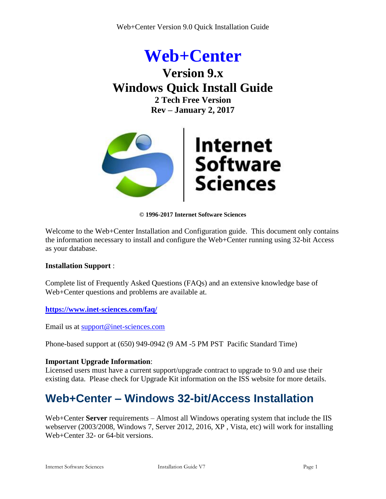



**© 1996-2017 Internet Software Sciences**

Welcome to the Web+Center Installation and Configuration guide. This document only contains the information necessary to install and configure the Web+Center running using 32-bit Access as your database.

#### **Installation Support** :

Complete list of Frequently Asked Questions (FAQs) and an extensive knowledge base of Web+Center questions and problems are available at.

**<https://www.inet-sciences.com/faq/>**

Email us at [support@inet-sciences.com](mailto:support@inet-sciences.com)

Phone-based support at (650) 949-0942 (9 AM -5 PM PST Pacific Standard Time)

#### **Important Upgrade Information**:

Licensed users must have a current support/upgrade contract to upgrade to 9.0 and use their existing data. Please check for Upgrade Kit information on the ISS website for more details.

# **Web+Center – Windows 32-bit/Access Installation**

Web+Center **Server** requirements – Almost all Windows operating system that include the IIS webserver (2003/2008, Windows 7, Server 2012, 2016, XP , Vista, etc) will work for installing Web+Center 32- or 64-bit versions.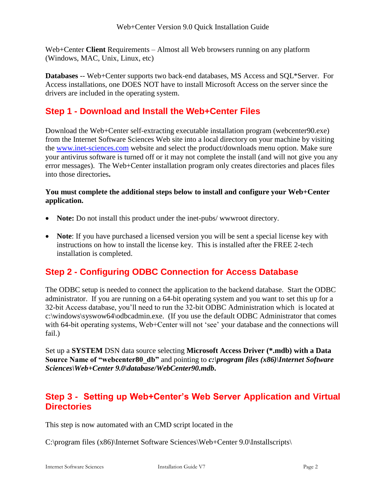Web+Center **Client** Requirements – Almost all Web browsers running on any platform (Windows, MAC, Unix, Linux, etc)

**Databases** -- Web+Center supports two back-end databases, MS Access and SQL\*Server. For Access installations, one DOES NOT have to install Microsoft Access on the server since the drivers are included in the operating system.

### **Step 1 - Download and Install the Web+Center Files**

Download the Web+Center self-extracting executable installation program (webcenter90.exe) from the Internet Software Sciences Web site into a local directory on your machine by visiting the [www.inet-sciences.com](http://www.inet-sciences.com/) website and select the product/downloads menu option. Make sure your antivirus software is turned off or it may not complete the install (and will not give you any error messages). The Web+Center installation program only creates directories and places files into those directories**.** 

#### **You must complete the additional steps below to install and configure your Web+Center application.**

- **Note:** Do not install this product under the inet-pubs/www.root directory.
- **Note**: If you have purchased a licensed version you will be sent a special license key with instructions on how to install the license key. This is installed after the FREE 2-tech installation is completed.

### **Step 2 - Configuring ODBC Connection for Access Database**

The ODBC setup is needed to connect the application to the backend database. Start the ODBC administrator. If you are running on a 64-bit operating system and you want to set this up for a 32-bit Access database, you'll need to run the 32-bit ODBC Administration which is located at c:\windows\syswow64\odbcadmin.exe. (If you use the default ODBC Administrator that comes with 64-bit operating systems, Web+Center will not 'see' your database and the connections will fail.)

Set up a **SYSTEM** DSN data source selecting **Microsoft Access Driver (\*.mdb) with a Data Source Name of "webcenter80\_db"** and pointing to *c:\program files (x86)\Internet Software Sciences\Web+Center 9.0\database/WebCenter90.mdb***.**

### **Step 3 - Setting up Web+Center's Web Server Application and Virtual Directories**

This step is now automated with an CMD script located in the

C:\program files (x86)\Internet Software Sciences\Web+Center 9.0\Installscripts\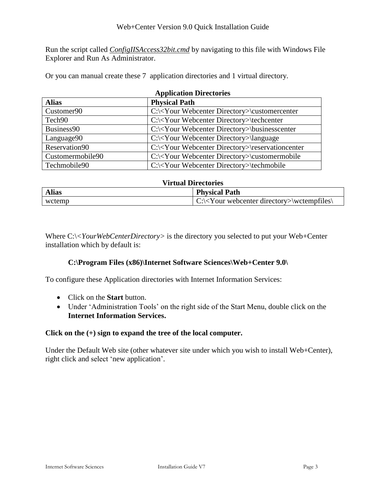Run the script called *ConfigIISAccess32bit.cmd* by navigating to this file with Windows File Explorer and Run As Administrator.

Or you can manual create these 7 application directories and 1 virtual directory.

| <b>Application Directories</b> |                                                               |  |  |  |
|--------------------------------|---------------------------------------------------------------|--|--|--|
| <b>Alias</b>                   | <b>Physical Path</b>                                          |  |  |  |
| Customer <sub>90</sub>         | $C:\&\&\text{Outer Directory}\custometer$                     |  |  |  |
| Tech <sub>90</sub>             | $C:\langle$ Your Webcenter Directory>\techcenter              |  |  |  |
| Business90                     | C:\ <your directory="" webcenter="">\businesscenter</your>    |  |  |  |
| Language90                     | C:\ <your directory="" webcenter="">\language</your>          |  |  |  |
| Reservation90                  | C:\ <your directory="" webcenter="">\reservationcenter</your> |  |  |  |
| Customermobile90               | C:\ <your directory="" webcenter="">\customermobile</your>    |  |  |  |
| Techmobile90                   | C:\ <your directory="" webcenter="">\techmobile</your>        |  |  |  |

| <b>Virtual Directories</b> |                                               |  |
|----------------------------|-----------------------------------------------|--|
| <b>Alias</b>               | <b>Physical Path</b>                          |  |
| wctemp                     | $C:\&Y$ our webcenter directory>\wetempfiles\ |  |

Where C:\<*YourWebCenterDirectory*> is the directory you selected to put your Web+Center installation which by default is:

#### **C:\Program Files (x86)\Internet Software Sciences\Web+Center 9.0\**

To configure these Application directories with Internet Information Services:

- Click on the **Start** button.
- Under 'Administration Tools' on the right side of the Start Menu, double click on the **Internet Information Services.**

#### **Click on the (+) sign to expand the tree of the local computer.**

Under the Default Web site (other whatever site under which you wish to install Web+Center), right click and select 'new application'.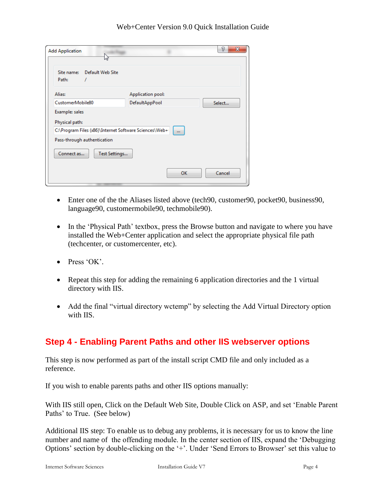| <b>Add Application</b><br>hz                                                                      | P<br>$\mathbf{x}$ |  |  |  |  |
|---------------------------------------------------------------------------------------------------|-------------------|--|--|--|--|
| Site name:<br>Default Web Site<br>Path:<br>1                                                      |                   |  |  |  |  |
| Alias:                                                                                            | Application pool: |  |  |  |  |
| CustomerMobile80<br>DefaultAppPool<br>Select                                                      |                   |  |  |  |  |
| Example: sales<br>Physical path:                                                                  |                   |  |  |  |  |
| C:\Program Files (x86)\Internet Software Sciences\Web+<br>$\cdots$<br>Pass-through authentication |                   |  |  |  |  |
| Connect as<br>Test Settings                                                                       |                   |  |  |  |  |
|                                                                                                   | OK<br>Cancel      |  |  |  |  |

- Enter one of the the Aliases listed above (tech90, customer90, pocket90, business90, language90, customermobile90, techmobile90).
- In the 'Physical Path' textbox, press the Browse button and navigate to where you have installed the Web+Center application and select the appropriate physical file path (techcenter, or customercenter, etc).
- $\bullet$  Press 'OK'.
- Repeat this step for adding the remaining 6 application directories and the 1 virtual directory with IIS.
- Add the final "virtual directory wctemp" by selecting the Add Virtual Directory option with IIS.

### **Step 4 - Enabling Parent Paths and other IIS webserver options**

This step is now performed as part of the install script CMD file and only included as a reference.

If you wish to enable parents paths and other IIS options manually:

With IIS still open, Click on the Default Web Site, Double Click on ASP, and set 'Enable Parent Paths' to True. (See below)

Additional IIS step: To enable us to debug any problems, it is necessary for us to know the line number and name of the offending module. In the center section of IIS, expand the 'Debugging Options' section by double-clicking on the '+'. Under 'Send Errors to Browser' set this value to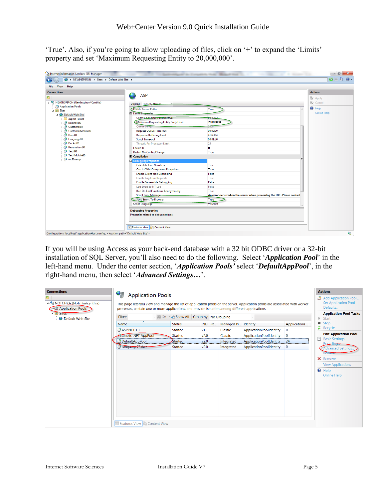'True'. Also, if you're going to allow uploading of files, click on '+' to expand the 'Limits' property and set 'Maximum Requesting Entity to 20,000,000'.

| <b>Actions</b><br><b>By</b> Apply<br><b>B</b> <sub>x</sub> Cancel<br><sup>O</sup> Help<br><b>True</b><br>00:00:03<br>Maximum Requesting Entity Body Limit<br>20000000<br>3000<br>00:00:00<br>4194304<br>00:01:30<br>25<br>$\mathbf{0}$<br>True | <b>Online Help</b>                                                                                                                          |
|------------------------------------------------------------------------------------------------------------------------------------------------------------------------------------------------------------------------------------------------|---------------------------------------------------------------------------------------------------------------------------------------------|
|                                                                                                                                                                                                                                                |                                                                                                                                             |
|                                                                                                                                                                                                                                                |                                                                                                                                             |
|                                                                                                                                                                                                                                                |                                                                                                                                             |
|                                                                                                                                                                                                                                                |                                                                                                                                             |
|                                                                                                                                                                                                                                                |                                                                                                                                             |
|                                                                                                                                                                                                                                                |                                                                                                                                             |
|                                                                                                                                                                                                                                                |                                                                                                                                             |
|                                                                                                                                                                                                                                                |                                                                                                                                             |
|                                                                                                                                                                                                                                                |                                                                                                                                             |
|                                                                                                                                                                                                                                                |                                                                                                                                             |
|                                                                                                                                                                                                                                                |                                                                                                                                             |
|                                                                                                                                                                                                                                                |                                                                                                                                             |
|                                                                                                                                                                                                                                                |                                                                                                                                             |
|                                                                                                                                                                                                                                                |                                                                                                                                             |
|                                                                                                                                                                                                                                                |                                                                                                                                             |
|                                                                                                                                                                                                                                                |                                                                                                                                             |
|                                                                                                                                                                                                                                                |                                                                                                                                             |
| True                                                                                                                                                                                                                                           |                                                                                                                                             |
| True                                                                                                                                                                                                                                           |                                                                                                                                             |
| False                                                                                                                                                                                                                                          |                                                                                                                                             |
|                                                                                                                                                                                                                                                |                                                                                                                                             |
|                                                                                                                                                                                                                                                |                                                                                                                                             |
|                                                                                                                                                                                                                                                |                                                                                                                                             |
|                                                                                                                                                                                                                                                |                                                                                                                                             |
|                                                                                                                                                                                                                                                |                                                                                                                                             |
|                                                                                                                                                                                                                                                |                                                                                                                                             |
|                                                                                                                                                                                                                                                |                                                                                                                                             |
|                                                                                                                                                                                                                                                |                                                                                                                                             |
|                                                                                                                                                                                                                                                | True<br>False<br>False<br>True<br>An error occurred on the server when processing the URL. Please contact<br><b>True</b><br><b>VBScript</b> |

If you will be using Access as your back-end database with a 32 bit ODBC driver or a 32-bit installation of SQL Server, you'll also need to do the following. Select '*Application Pool*' in the left-hand menu. Under the center section, '*Application Pools'* select '*DefaultAppPool*', in the right-hand menu, then select '*Advanced Settings…*'.

| <b>Connections</b><br>▲ • NOTCHKA (Notchka\cynthia)<br><b>Application Pools</b><br>$4 - 9$ Sites<br><b>D</b> Default Web Site | 9<br><b>Application Pools</b><br>This page lets you view and manage the list of application pools on the server. Application pools are associated with worker<br>processes, contain one or more applications, and provide isolation among different applications.<br>Filter: | • (4) Go → G Show All Group by: No Grouping |          |            |                         |                     | <b>Actions</b><br><b>Add Application Pool</b><br><b>Set Application Pool</b><br>Defaults<br><b>Application Pool Tasks</b><br>Start<br>$\mathbb{D}$ |
|-------------------------------------------------------------------------------------------------------------------------------|------------------------------------------------------------------------------------------------------------------------------------------------------------------------------------------------------------------------------------------------------------------------------|---------------------------------------------|----------|------------|-------------------------|---------------------|----------------------------------------------------------------------------------------------------------------------------------------------------|
|                                                                                                                               | $\overline{\phantom{a}}$<br>Name                                                                                                                                                                                                                                             | <b>Status</b>                               | .NET Fra | Managed Pi | Identity                | <b>Applications</b> | ■ Stop                                                                                                                                             |
|                                                                                                                               | LASP.NET 1.1                                                                                                                                                                                                                                                                 | Started                                     | v1.1     | Classic    | ApplicationPoolIdentity | $\mathbf{0}$        | $\ddot{z}$ Recycle                                                                                                                                 |
|                                                                                                                               | Classic .NET AppPool                                                                                                                                                                                                                                                         | <b>Started</b>                              | v2.0     | Classic    | ApplicationPoolIdentity | $\mathbf 0$         | <b>Edit Application Pool</b>                                                                                                                       |
|                                                                                                                               | DefaultAppPool                                                                                                                                                                                                                                                               | Started                                     | v2.0     | Integrated | ApplicationPoolIdentity | 24                  | <b>Basic Settings</b><br>Recycling.                                                                                                                |
|                                                                                                                               | Language75sbcc<br><b>Features View</b><br>Content View                                                                                                                                                                                                                       | <b>Started</b>                              | v2.0     | Integrated | ApplicationPoolIdentity | $\mathbf{0}$        | <b>Advanced Settings.</b><br>Rename<br><b>X</b> Remove<br><b>View Applications</b><br><b>O</b> Help<br><b>Online Help</b>                          |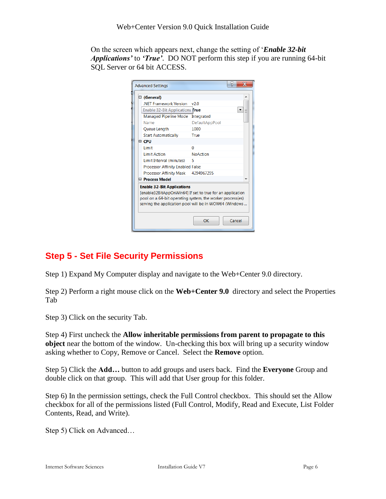On the screen which appears next, change the setting of '*Enable 32-bit Applications'* to *'True'*. DO NOT perform this step if you are running 64-bit SQL Server or 64 bit ACCESS.

|                                                           | <b>Advanced Settings</b>                |                 |  |  |  |  |
|-----------------------------------------------------------|-----------------------------------------|-----------------|--|--|--|--|
|                                                           | □ (General)                             |                 |  |  |  |  |
|                                                           | <b>NFT Framework Version</b>            | v2.0            |  |  |  |  |
|                                                           | Enable 32-Bit Applications True         |                 |  |  |  |  |
|                                                           | <b>Managed Pipeline Mode</b>            | Integrated      |  |  |  |  |
|                                                           | Name                                    | DefaultAppPool  |  |  |  |  |
|                                                           | Queue Length                            | 1000            |  |  |  |  |
|                                                           | <b>Start Automatically</b>              | True            |  |  |  |  |
| $\boxminus$ CPU                                           |                                         |                 |  |  |  |  |
|                                                           | Limit                                   | O               |  |  |  |  |
|                                                           | <b>Limit Action</b>                     | <b>NoAction</b> |  |  |  |  |
|                                                           | Limit Interval (minutes)                | 5               |  |  |  |  |
|                                                           | <b>Processor Affinity Enabled False</b> |                 |  |  |  |  |
|                                                           | Processor Affinity Mask                 | 4294967295      |  |  |  |  |
|                                                           | □ Process Model                         |                 |  |  |  |  |
| <b>Enable 32-Bit Applications</b>                         |                                         |                 |  |  |  |  |
| [enable32BitAppOnWin64] If set to true for an application |                                         |                 |  |  |  |  |
| pool on a 64-bit operating system, the worker process(es) |                                         |                 |  |  |  |  |
| serving the application pool will be in WOW64 (Windows    |                                         |                 |  |  |  |  |
|                                                           |                                         |                 |  |  |  |  |
|                                                           |                                         | OK<br>Cancel    |  |  |  |  |

## **Step 5 - Set File Security Permissions**

Step 1) Expand My Computer display and navigate to the Web+Center 9.0 directory.

Step 2) Perform a right mouse click on the **Web+Center 9.0** directory and select the Properties Tab

Step 3) Click on the security Tab.

Step 4) First uncheck the **Allow inheritable permissions from parent to propagate to this object** near the bottom of the window. Un-checking this box will bring up a security window asking whether to Copy, Remove or Cancel. Select the **Remove** option.

Step 5) Click the **Add…** button to add groups and users back. Find the **Everyone** Group and double click on that group. This will add that User group for this folder.

Step 6) In the permission settings, check the Full Control checkbox. This should set the Allow checkbox for all of the permissions listed (Full Control, Modify, Read and Execute, List Folder Contents, Read, and Write).

Step 5) Click on Advanced…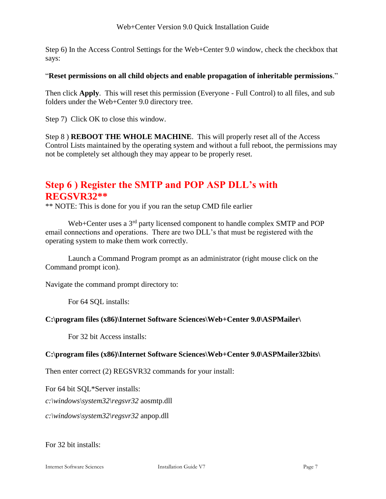Step 6) In the Access Control Settings for the Web+Center 9.0 window, check the checkbox that says:

#### "**Reset permissions on all child objects and enable propagation of inheritable permissions**."

Then click **Apply**. This will reset this permission (Everyone - Full Control) to all files, and sub folders under the Web+Center 9.0 directory tree.

Step 7) Click OK to close this window.

Step 8 ) **REBOOT THE WHOLE MACHINE**. This will properly reset all of the Access Control Lists maintained by the operating system and without a full reboot, the permissions may not be completely set although they may appear to be properly reset.

## **Step 6 ) Register the SMTP and POP ASP DLL's with REGSVR32\*\***

\*\* NOTE: This is done for you if you ran the setup CMD file earlier

Web+Center uses a 3<sup>rd</sup> party licensed component to handle complex SMTP and POP email connections and operations. There are two DLL's that must be registered with the operating system to make them work correctly.

Launch a Command Program prompt as an administrator (right mouse click on the Command prompt icon).

Navigate the command prompt directory to:

For 64 SQL installs:

#### **C:\program files (x86)\Internet Software Sciences\Web+Center 9.0\ASPMailer\**

For 32 bit Access installs:

#### **C:\program files (x86)\Internet Software Sciences\Web+Center 9.0\ASPMailer32bits\**

Then enter correct (2) REGSVR32 commands for your install:

For 64 bit SQL\*Server installs:

*c:\windows\system32\regsvr32* aosmtp.dll

*c:\windows\system32\regsvr32* anpop.dll

For 32 bit installs: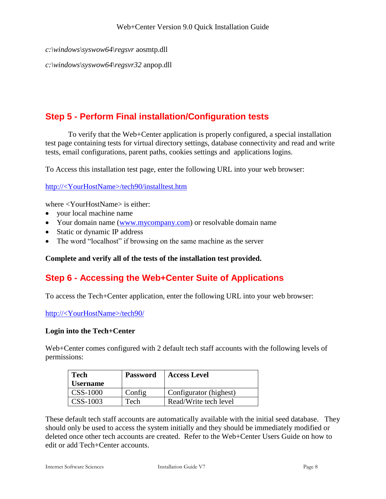*c:\windows\syswow64\regsvr* aosmtp.dll

*c:\windows\syswow64\regsvr32* anpop.dll

### **Step 5 - Perform Final installation/Configuration tests**

To verify that the Web+Center application is properly configured, a special installation test page containing tests for virtual directory settings, database connectivity and read and write tests, email configurations, parent paths, cookies settings and applications logins.

To Access this installation test page, enter the following URL into your web browser:

http://<YourHostName>/tech90/installtest.htm

where <YourHostName> is either:

- your local machine name
- Your domain name [\(www.mycompany.com\)](http://www.mycompany.com/) or resolvable domain name
- Static or dynamic IP address
- The word "localhost" if browsing on the same machine as the server

**Complete and verify all of the tests of the installation test provided.**

### **Step 6 - Accessing the Web+Center Suite of Applications**

To access the Tech+Center application, enter the following URL into your web browser:

http://<YourHostName>/tech90/

#### **Login into the Tech+Center**

Web+Center comes configured with 2 default tech staff accounts with the following levels of permissions:

| <b>Tech</b>     | <b>Password</b> | <b>Access Level</b>    |
|-----------------|-----------------|------------------------|
| <b>Username</b> |                 |                        |
| <b>CSS-1000</b> | Config          | Configurator (highest) |
| CSS-1003        | Tech            | Read/Write tech level  |

These default tech staff accounts are automatically available with the initial seed database. They should only be used to access the system initially and they should be immediately modified or deleted once other tech accounts are created. Refer to the Web+Center Users Guide on how to edit or add Tech+Center accounts.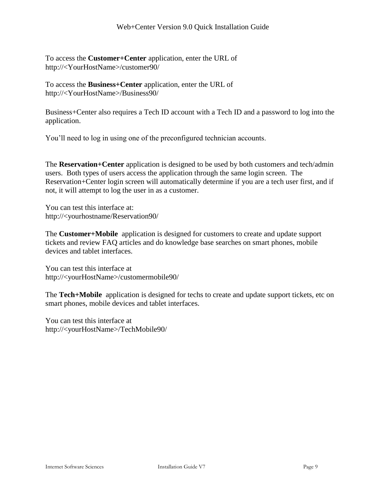To access the **Customer+Center** application, enter the URL of http://<YourHostName>/customer90/

To access the **Business+Center** application, enter the URL of http://<YourHostName>/Business90/

Business+Center also requires a Tech ID account with a Tech ID and a password to log into the application.

You'll need to log in using one of the preconfigured technician accounts.

The **Reservation+Center** application is designed to be used by both customers and tech/admin users. Both types of users access the application through the same login screen. The Reservation+Center login screen will automatically determine if you are a tech user first, and if not, it will attempt to log the user in as a customer.

You can test this interface at: http://<yourhostname/Reservation90/

The **Customer+Mobile** application is designed for customers to create and update support tickets and review FAQ articles and do knowledge base searches on smart phones, mobile devices and tablet interfaces.

You can test this interface at http://<yourHostName>/customermobile90/

The **Tech+Mobile** application is designed for techs to create and update support tickets, etc on smart phones, mobile devices and tablet interfaces.

You can test this interface at http://<yourHostName>/TechMobile90/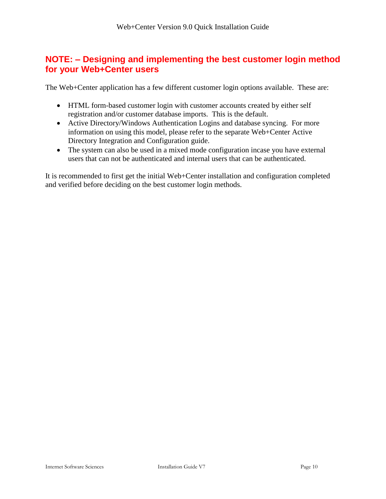### **NOTE: – Designing and implementing the best customer login method for your Web+Center users**

The Web+Center application has a few different customer login options available. These are:

- HTML form-based customer login with customer accounts created by either self registration and/or customer database imports. This is the default.
- Active Directory/Windows Authentication Logins and database syncing. For more information on using this model, please refer to the separate Web+Center Active Directory Integration and Configuration guide.
- The system can also be used in a mixed mode configuration incase you have external users that can not be authenticated and internal users that can be authenticated.

It is recommended to first get the initial Web+Center installation and configuration completed and verified before deciding on the best customer login methods.